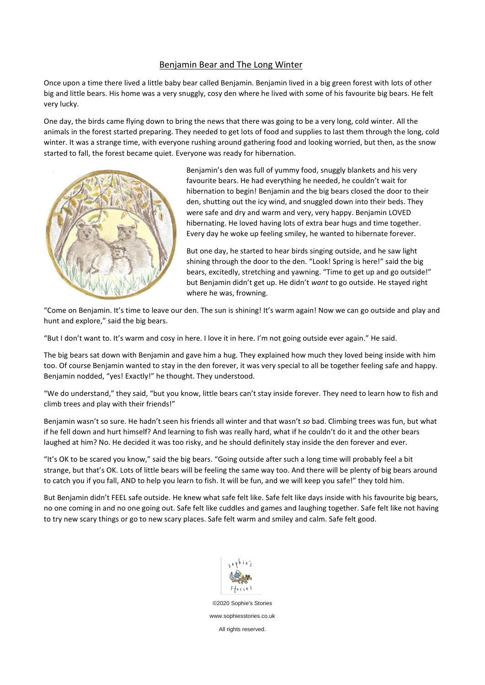## Benjamin Bear and The Long Winter

Once upon a time there lived a little baby bear called Benjamin. Benjamin lived in a big green forest with lots of other big and little bears. His home was a very snuggly, cosy den where he lived with some of his favourite big bears. He felt very lucky.

One day, the birds came flying down to bring the news that there was going to be a very long, cold winter. All the animals in the forest started preparing. They needed to get lots of food and supplies to last them through the long, cold winter. It was a strange time, with everyone rushing around gathering food and looking worried, but then, as the snow started to fall, the forest became quiet. Everyone was ready for hibernation.



Benjamin's den was full of yummy food, snuggly blankets and his very favourite bears. He had everything he needed, he couldn't wait for hibernation to begin! Benjamin and the big bears closed the door to their den, shutting out the icy wind, and snuggled down into their beds. They were safe and dry and warm and very, very happy. Benjamin LOVED hibernating. He loved having lots of extra bear hugs and time together. Every day he woke up feeling smiley, he wanted to hibernate forever.

But one day, he started to hear birds singing outside, and he saw light shining through the door to the den. "Look! Spring is here!" said the big bears, excitedly, stretching and yawning. "Time to get up and go outside!" but Benjamin didn't get up. He didn't *want* to go outside. He stayed right where he was, frowning.

"Come on Benjamin. It's time to leave our den. The sun is shining! It's warm again! Now we can go outside and play and hunt and explore," said the big bears.

"But I don't want to. It's warm and cosy in here. I love it in here. I'm not going outside ever again." He said.

The big bears sat down with Benjamin and gave him a hug. They explained how much they loved being inside with him too. Of course Benjamin wanted to stay in the den forever, it was very special to all be together feeling safe and happy. Benjamin nodded, "yes! Exactly!" he thought. They understood.

"We do understand," they said, "but you know, little bears can't stay inside forever. They need to learn how to fish and climb trees and play with their friends!"

Benjamin wasn't so sure. He hadn't seen his friends all winter and that wasn't *so* bad. Climbing trees was fun, but what if he fell down and hurt himself? And learning to fish was really hard, what if he couldn't do it and the other bears laughed at him? No. He decided it was too risky, and he should definitely stay inside the den forever and ever.

"It's OK to be scared you know," said the big bears. "Going outside after such a long time will probably feel a bit strange, but that's OK. Lots of little bears will be feeling the same way too. And there will be plenty of big bears around to catch you if you fall, AND to help you learn to fish. It will be fun, and we will keep you safe!" they told him.

But Benjamin didn't FEEL safe outside. He knew what safe felt like. Safe felt like days inside with his favourite big bears, no one coming in and no one going out. Safe felt like cuddles and games and laughing together. Safe felt like not having to try new scary things or go to new scary places. Safe felt warm and smiley and calm. Safe felt good.



©2020 Sophie's Stories www.sophiesstories.co.uk All rights reserved.